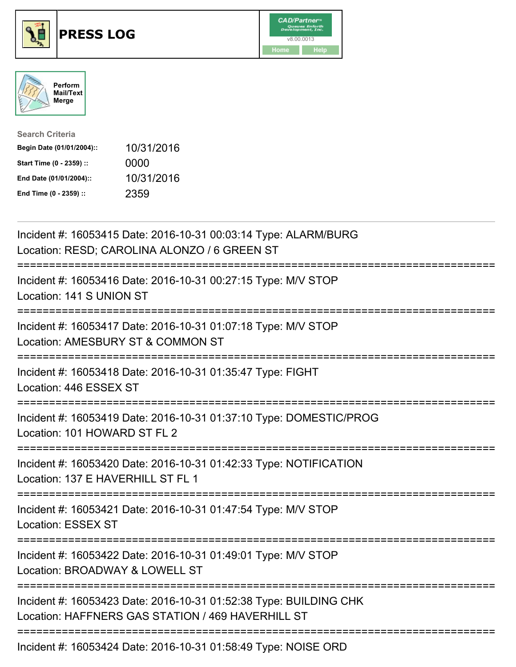





| <b>Search Criteria</b>    |            |
|---------------------------|------------|
| Begin Date (01/01/2004):: | 10/31/2016 |
| Start Time (0 - 2359) ::  | 0000       |
| End Date (01/01/2004)::   | 10/31/2016 |
| End Time (0 - 2359) ::    | 2359       |

| Incident #: 16053415 Date: 2016-10-31 00:03:14 Type: ALARM/BURG<br>Location: RESD; CAROLINA ALONZO / 6 GREEN ST           |
|---------------------------------------------------------------------------------------------------------------------------|
| Incident #: 16053416 Date: 2016-10-31 00:27:15 Type: M/V STOP<br>Location: 141 S UNION ST                                 |
| Incident #: 16053417 Date: 2016-10-31 01:07:18 Type: M/V STOP<br>Location: AMESBURY ST & COMMON ST                        |
| Incident #: 16053418 Date: 2016-10-31 01:35:47 Type: FIGHT<br>Location: 446 ESSEX ST<br>=================                 |
| Incident #: 16053419 Date: 2016-10-31 01:37:10 Type: DOMESTIC/PROG<br>Location: 101 HOWARD ST FL 2<br>------------        |
| Incident #: 16053420 Date: 2016-10-31 01:42:33 Type: NOTIFICATION<br>Location: 137 E HAVERHILL ST FL 1                    |
| :==========================<br>Incident #: 16053421 Date: 2016-10-31 01:47:54 Type: M/V STOP<br><b>Location: ESSEX ST</b> |
| Incident #: 16053422 Date: 2016-10-31 01:49:01 Type: M/V STOP<br>Location: BROADWAY & LOWELL ST                           |
| Incident #: 16053423 Date: 2016-10-31 01:52:38 Type: BUILDING CHK<br>Location: HAFFNERS GAS STATION / 469 HAVERHILL ST    |
| Incident #: 16053424 Date: 2016-10-31 01:58:49 Type: NOISE ORD                                                            |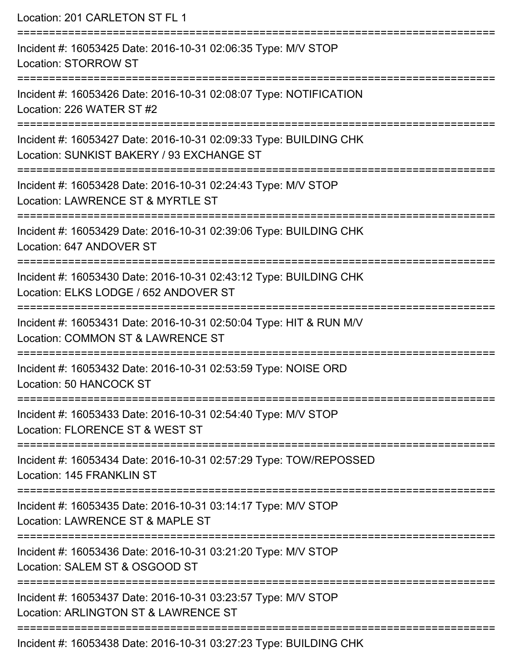Location: 201 CARLETON ST FL 1 =========================================================================== Incident #: 16053425 Date: 2016-10-31 02:06:35 Type: M/V STOP Location: STORROW ST =========================================================================== Incident #: 16053426 Date: 2016-10-31 02:08:07 Type: NOTIFICATION Location: 226 WATER ST #2 =========================================================================== Incident #: 16053427 Date: 2016-10-31 02:09:33 Type: BUILDING CHK Location: SUNKIST BAKERY / 93 EXCHANGE ST =========================================================================== Incident #: 16053428 Date: 2016-10-31 02:24:43 Type: M/V STOP Location: LAWRENCE ST & MYRTLE ST =========================================================================== Incident #: 16053429 Date: 2016-10-31 02:39:06 Type: BUILDING CHK Location: 647 ANDOVER ST =========================================================================== Incident #: 16053430 Date: 2016-10-31 02:43:12 Type: BUILDING CHK Location: ELKS LODGE / 652 ANDOVER ST =========================================================================== Incident #: 16053431 Date: 2016-10-31 02:50:04 Type: HIT & RUN M/V Location: COMMON ST & LAWRENCE ST =========================================================================== Incident #: 16053432 Date: 2016-10-31 02:53:59 Type: NOISE ORD Location: 50 HANCOCK ST =========================================================================== Incident #: 16053433 Date: 2016-10-31 02:54:40 Type: M/V STOP Location: FLORENCE ST & WEST ST =========================================================================== Incident #: 16053434 Date: 2016-10-31 02:57:29 Type: TOW/REPOSSED Location: 145 FRANKLIN ST =========================================================================== Incident #: 16053435 Date: 2016-10-31 03:14:17 Type: M/V STOP Location: LAWRENCE ST & MAPLE ST =========================================================================== Incident #: 16053436 Date: 2016-10-31 03:21:20 Type: M/V STOP Location: SALEM ST & OSGOOD ST =========================================================================== Incident #: 16053437 Date: 2016-10-31 03:23:57 Type: M/V STOP Location: ARLINGTON ST & LAWRENCE ST =========================================================================== Incident #: 16053438 Date: 2016-10-31 03:27:23 Type: BUILDING CHK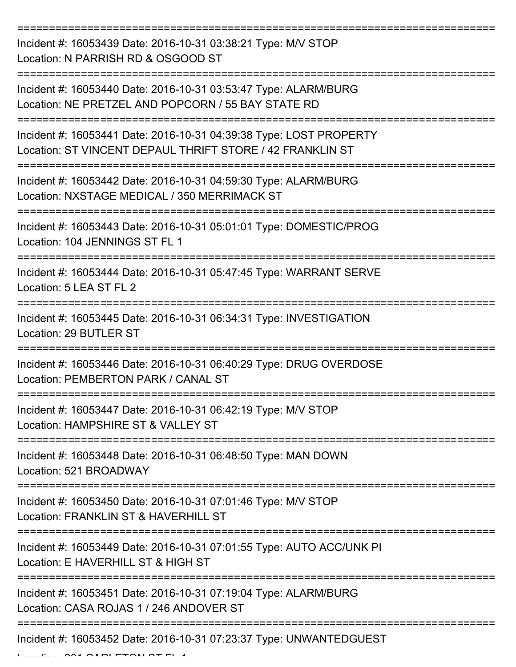| Incident #: 16053439 Date: 2016-10-31 03:38:21 Type: M/V STOP<br>Location: N PARRISH RD & OSGOOD ST                             |
|---------------------------------------------------------------------------------------------------------------------------------|
| Incident #: 16053440 Date: 2016-10-31 03:53:47 Type: ALARM/BURG<br>Location: NE PRETZEL AND POPCORN / 55 BAY STATE RD           |
| Incident #: 16053441 Date: 2016-10-31 04:39:38 Type: LOST PROPERTY<br>Location: ST VINCENT DEPAUL THRIFT STORE / 42 FRANKLIN ST |
| Incident #: 16053442 Date: 2016-10-31 04:59:30 Type: ALARM/BURG<br>Location: NXSTAGE MEDICAL / 350 MERRIMACK ST                 |
| Incident #: 16053443 Date: 2016-10-31 05:01:01 Type: DOMESTIC/PROG<br>Location: 104 JENNINGS ST FL 1                            |
| Incident #: 16053444 Date: 2016-10-31 05:47:45 Type: WARRANT SERVE<br>Location: 5 LEA ST FL 2                                   |
| Incident #: 16053445 Date: 2016-10-31 06:34:31 Type: INVESTIGATION<br>Location: 29 BUTLER ST                                    |
| Incident #: 16053446 Date: 2016-10-31 06:40:29 Type: DRUG OVERDOSE<br>Location: PEMBERTON PARK / CANAL ST                       |
| Incident #: 16053447 Date: 2016-10-31 06:42:19 Type: M/V STOP<br>Location: HAMPSHIRE ST & VALLEY ST                             |
| Incident #: 16053448 Date: 2016-10-31 06:48:50 Type: MAN DOWN<br>Location: 521 BROADWAY                                         |
| Incident #: 16053450 Date: 2016-10-31 07:01:46 Type: M/V STOP<br>Location: FRANKLIN ST & HAVERHILL ST                           |
| Incident #: 16053449 Date: 2016-10-31 07:01:55 Type: AUTO ACC/UNK PI<br>Location: E HAVERHILL ST & HIGH ST                      |
| Incident #: 16053451 Date: 2016-10-31 07:19:04 Type: ALARM/BURG<br>Location: CASA ROJAS 1 / 246 ANDOVER ST                      |
| Incident #: 16053452 Date: 2016-10-31 07:23:37 Type: UNWANTEDGUEST                                                              |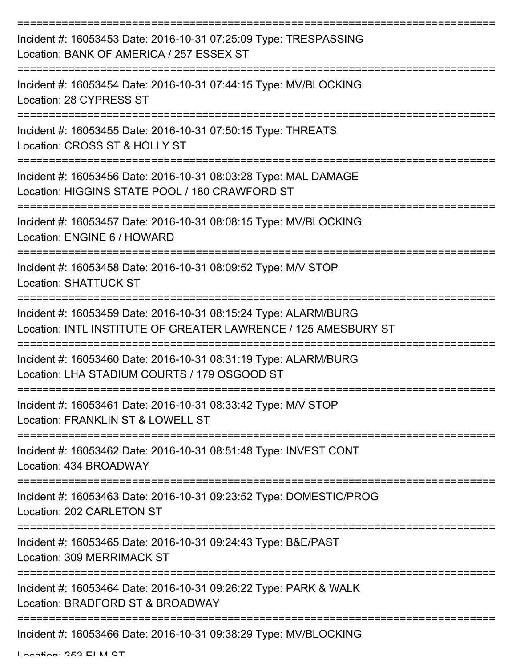| Incident #: 16053453 Date: 2016-10-31 07:25:09 Type: TRESPASSING<br>Location: BANK OF AMERICA / 257 ESSEX ST                      |
|-----------------------------------------------------------------------------------------------------------------------------------|
| Incident #: 16053454 Date: 2016-10-31 07:44:15 Type: MV/BLOCKING<br>Location: 28 CYPRESS ST                                       |
| Incident #: 16053455 Date: 2016-10-31 07:50:15 Type: THREATS<br>Location: CROSS ST & HOLLY ST                                     |
| Incident #: 16053456 Date: 2016-10-31 08:03:28 Type: MAL DAMAGE<br>Location: HIGGINS STATE POOL / 180 CRAWFORD ST                 |
| Incident #: 16053457 Date: 2016-10-31 08:08:15 Type: MV/BLOCKING<br>Location: ENGINE 6 / HOWARD                                   |
| Incident #: 16053458 Date: 2016-10-31 08:09:52 Type: M/V STOP<br><b>Location: SHATTUCK ST</b>                                     |
| Incident #: 16053459 Date: 2016-10-31 08:15:24 Type: ALARM/BURG<br>Location: INTL INSTITUTE OF GREATER LAWRENCE / 125 AMESBURY ST |
| Incident #: 16053460 Date: 2016-10-31 08:31:19 Type: ALARM/BURG<br>Location: LHA STADIUM COURTS / 179 OSGOOD ST                   |
| Incident #: 16053461 Date: 2016-10-31 08:33:42 Type: M/V STOP<br>Location: FRANKLIN ST & LOWELL ST                                |
| Incident #: 16053462 Date: 2016-10-31 08:51:48 Type: INVEST CONT<br>Location: 434 BROADWAY                                        |
| Incident #: 16053463 Date: 2016-10-31 09:23:52 Type: DOMESTIC/PROG<br>Location: 202 CARLETON ST                                   |
| Incident #: 16053465 Date: 2016-10-31 09:24:43 Type: B&E/PAST<br>Location: 309 MERRIMACK ST                                       |
| Incident #: 16053464 Date: 2016-10-31 09:26:22 Type: PARK & WALK<br>Location: BRADFORD ST & BROADWAY                              |
| Incident #: 16053466 Date: 2016-10-31 09:38:29 Type: MV/BLOCKING                                                                  |

Location: 252 ELM CT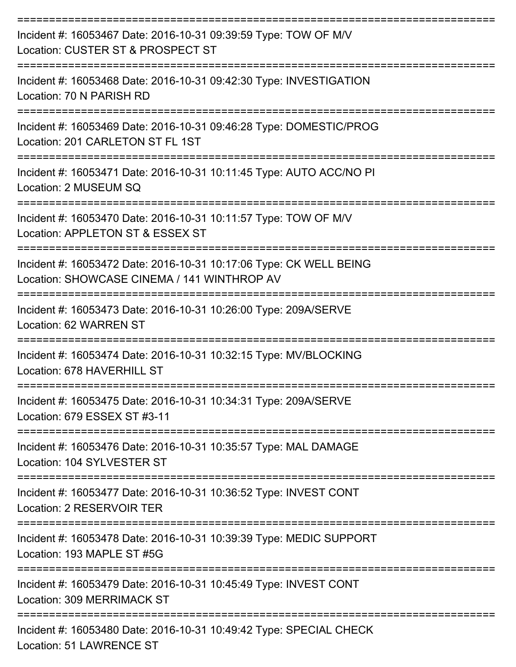| Incident #: 16053467 Date: 2016-10-31 09:39:59 Type: TOW OF M/V<br>Location: CUSTER ST & PROSPECT ST                     |
|--------------------------------------------------------------------------------------------------------------------------|
| Incident #: 16053468 Date: 2016-10-31 09:42:30 Type: INVESTIGATION<br>Location: 70 N PARISH RD                           |
| Incident #: 16053469 Date: 2016-10-31 09:46:28 Type: DOMESTIC/PROG<br>Location: 201 CARLETON ST FL 1ST                   |
| Incident #: 16053471 Date: 2016-10-31 10:11:45 Type: AUTO ACC/NO PI<br>Location: 2 MUSEUM SQ                             |
| -----------------<br>Incident #: 16053470 Date: 2016-10-31 10:11:57 Type: TOW OF M/V<br>Location: APPLETON ST & ESSEX ST |
| Incident #: 16053472 Date: 2016-10-31 10:17:06 Type: CK WELL BEING<br>Location: SHOWCASE CINEMA / 141 WINTHROP AV        |
| Incident #: 16053473 Date: 2016-10-31 10:26:00 Type: 209A/SERVE<br>Location: 62 WARREN ST                                |
| Incident #: 16053474 Date: 2016-10-31 10:32:15 Type: MV/BLOCKING<br>Location: 678 HAVERHILL ST                           |
| Incident #: 16053475 Date: 2016-10-31 10:34:31 Type: 209A/SERVE<br>Location: 679 ESSEX ST #3-11                          |
| Incident #: 16053476 Date: 2016-10-31 10:35:57 Type: MAL DAMAGE<br>Location: 104 SYLVESTER ST                            |
| Incident #: 16053477 Date: 2016-10-31 10:36:52 Type: INVEST CONT<br>Location: 2 RESERVOIR TER                            |
| Incident #: 16053478 Date: 2016-10-31 10:39:39 Type: MEDIC SUPPORT<br>Location: 193 MAPLE ST #5G                         |
| Incident #: 16053479 Date: 2016-10-31 10:45:49 Type: INVEST CONT<br>Location: 309 MERRIMACK ST                           |
| Incident #: 16053480 Date: 2016-10-31 10:49:42 Type: SPECIAL CHECK                                                       |

Location: 51 LAWRENCE ST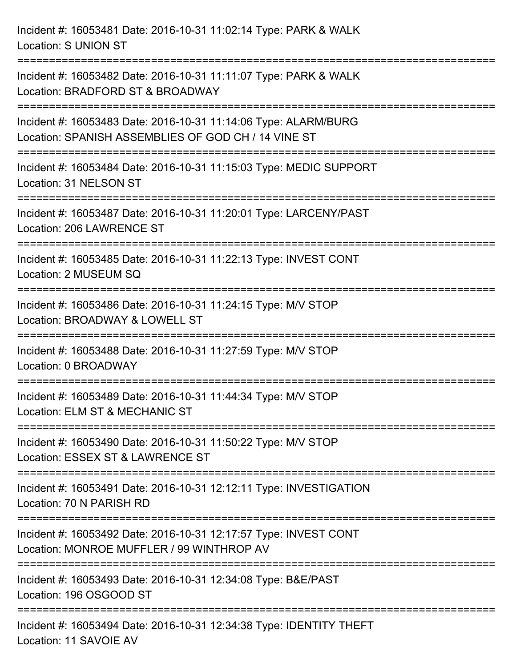Incident #: 16053481 Date: 2016-10-31 11:02:14 Type: PARK & WALK Location: S UNION ST =========================================================================== Incident #: 16053482 Date: 2016-10-31 11:11:07 Type: PARK & WALK Location: BRADFORD ST & BROADWAY =========================================================================== Incident #: 16053483 Date: 2016-10-31 11:14:06 Type: ALARM/BURG Location: SPANISH ASSEMBLIES OF GOD CH / 14 VINE ST =========================================================================== Incident #: 16053484 Date: 2016-10-31 11:15:03 Type: MEDIC SUPPORT Location: 31 NELSON ST =========================================================================== Incident #: 16053487 Date: 2016-10-31 11:20:01 Type: LARCENY/PAST Location: 206 LAWRENCE ST =========================================================================== Incident #: 16053485 Date: 2016-10-31 11:22:13 Type: INVEST CONT Location: 2 MUSEUM SQ =========================================================================== Incident #: 16053486 Date: 2016-10-31 11:24:15 Type: M/V STOP Location: BROADWAY & LOWELL ST =========================================================================== Incident #: 16053488 Date: 2016-10-31 11:27:59 Type: M/V STOP Location: 0 BROADWAY =========================================================================== Incident #: 16053489 Date: 2016-10-31 11:44:34 Type: M/V STOP Location: ELM ST & MECHANIC ST =========================================================================== Incident #: 16053490 Date: 2016-10-31 11:50:22 Type: M/V STOP Location: ESSEX ST & LAWRENCE ST =========================================================================== Incident #: 16053491 Date: 2016-10-31 12:12:11 Type: INVESTIGATION Location: 70 N PARISH RD =========================================================================== Incident #: 16053492 Date: 2016-10-31 12:17:57 Type: INVEST CONT Location: MONROE MUFFLER / 99 WINTHROP AV =========================================================================== Incident #: 16053493 Date: 2016-10-31 12:34:08 Type: B&E/PAST Location: 196 OSGOOD ST =========================================================================== Incident #: 16053494 Date: 2016-10-31 12:34:38 Type: IDENTITY THEFT Location: 11 SAVOIE AV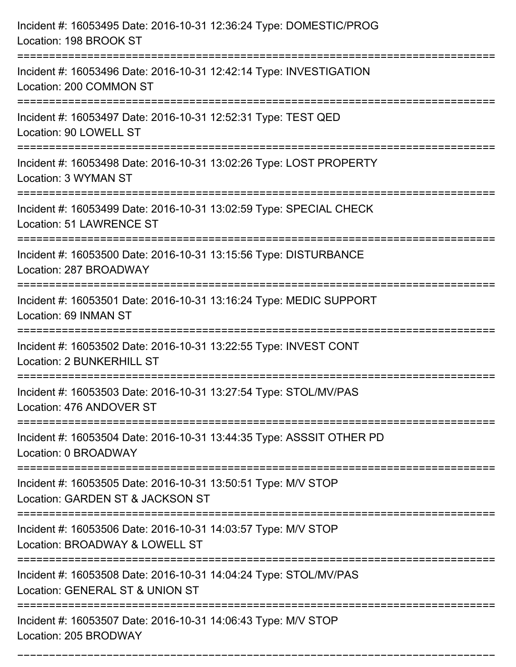| Incident #: 16053495 Date: 2016-10-31 12:36:24 Type: DOMESTIC/PROG<br>Location: 198 BROOK ST          |
|-------------------------------------------------------------------------------------------------------|
| Incident #: 16053496 Date: 2016-10-31 12:42:14 Type: INVESTIGATION<br>Location: 200 COMMON ST         |
| Incident #: 16053497 Date: 2016-10-31 12:52:31 Type: TEST QED<br>Location: 90 LOWELL ST               |
| Incident #: 16053498 Date: 2016-10-31 13:02:26 Type: LOST PROPERTY<br>Location: 3 WYMAN ST            |
| Incident #: 16053499 Date: 2016-10-31 13:02:59 Type: SPECIAL CHECK<br><b>Location: 51 LAWRENCE ST</b> |
| Incident #: 16053500 Date: 2016-10-31 13:15:56 Type: DISTURBANCE<br>Location: 287 BROADWAY            |
| Incident #: 16053501 Date: 2016-10-31 13:16:24 Type: MEDIC SUPPORT<br>Location: 69 INMAN ST           |
| Incident #: 16053502 Date: 2016-10-31 13:22:55 Type: INVEST CONT<br><b>Location: 2 BUNKERHILL ST</b>  |
| Incident #: 16053503 Date: 2016-10-31 13:27:54 Type: STOL/MV/PAS<br>Location: 476 ANDOVER ST          |
| Incident #: 16053504 Date: 2016-10-31 13:44:35 Type: ASSSIT OTHER PD<br>Location: 0 BROADWAY          |
| Incident #: 16053505 Date: 2016-10-31 13:50:51 Type: M/V STOP<br>Location: GARDEN ST & JACKSON ST     |
| Incident #: 16053506 Date: 2016-10-31 14:03:57 Type: M/V STOP<br>Location: BROADWAY & LOWELL ST       |
| Incident #: 16053508 Date: 2016-10-31 14:04:24 Type: STOL/MV/PAS<br>Location: GENERAL ST & UNION ST   |
| Incident #: 16053507 Date: 2016-10-31 14:06:43 Type: M/V STOP<br>Location: 205 BRODWAY                |

===========================================================================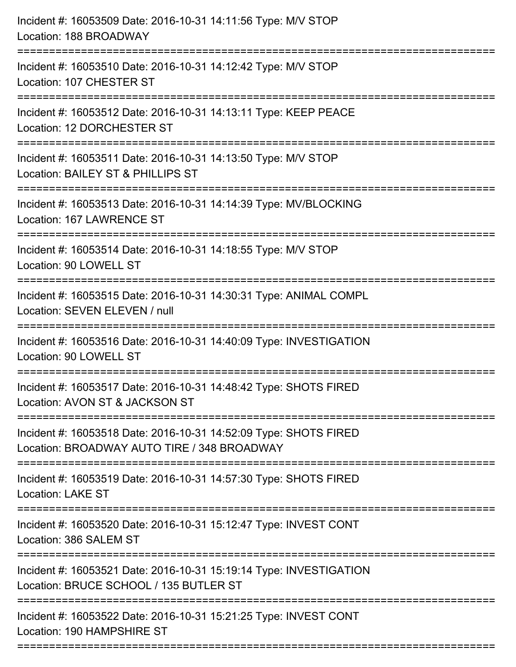| Incident #: 16053509 Date: 2016-10-31 14:11:56 Type: M/V STOP<br>Location: 188 BROADWAY                                                         |
|-------------------------------------------------------------------------------------------------------------------------------------------------|
| Incident #: 16053510 Date: 2016-10-31 14:12:42 Type: M/V STOP<br>Location: 107 CHESTER ST                                                       |
| Incident #: 16053512 Date: 2016-10-31 14:13:11 Type: KEEP PEACE<br>Location: 12 DORCHESTER ST                                                   |
| Incident #: 16053511 Date: 2016-10-31 14:13:50 Type: M/V STOP<br>Location: BAILEY ST & PHILLIPS ST                                              |
| Incident #: 16053513 Date: 2016-10-31 14:14:39 Type: MV/BLOCKING<br>Location: 167 LAWRENCE ST                                                   |
| Incident #: 16053514 Date: 2016-10-31 14:18:55 Type: M/V STOP<br>Location: 90 LOWELL ST                                                         |
| Incident #: 16053515 Date: 2016-10-31 14:30:31 Type: ANIMAL COMPL<br>Location: SEVEN ELEVEN / null                                              |
| Incident #: 16053516 Date: 2016-10-31 14:40:09 Type: INVESTIGATION<br>Location: 90 LOWELL ST                                                    |
| Incident #: 16053517 Date: 2016-10-31 14:48:42 Type: SHOTS FIRED<br>Location: AVON ST & JACKSON ST                                              |
| Incident #: 16053518 Date: 2016-10-31 14:52:09 Type: SHOTS FIRED<br>Location: BROADWAY AUTO TIRE / 348 BROADWAY<br>:=========================== |
| Incident #: 16053519 Date: 2016-10-31 14:57:30 Type: SHOTS FIRED<br><b>Location: LAKE ST</b>                                                    |
| Incident #: 16053520 Date: 2016-10-31 15:12:47 Type: INVEST CONT<br>Location: 386 SALEM ST<br>====================================              |
| Incident #: 16053521 Date: 2016-10-31 15:19:14 Type: INVESTIGATION<br>Location: BRUCE SCHOOL / 135 BUTLER ST                                    |
| Incident #: 16053522 Date: 2016-10-31 15:21:25 Type: INVEST CONT<br>Location: 190 HAMPSHIRE ST                                                  |
|                                                                                                                                                 |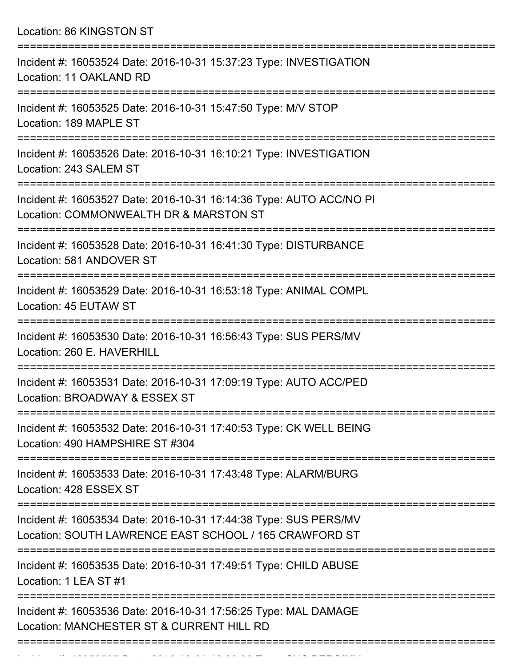Location: 86 KINGSTON ST

| Incident #: 16053524 Date: 2016-10-31 15:37:23 Type: INVESTIGATION<br>Location: 11 OAKLAND RD                                               |
|---------------------------------------------------------------------------------------------------------------------------------------------|
| Incident #: 16053525 Date: 2016-10-31 15:47:50 Type: M/V STOP<br>Location: 189 MAPLE ST                                                     |
| Incident #: 16053526 Date: 2016-10-31 16:10:21 Type: INVESTIGATION<br>Location: 243 SALEM ST                                                |
| Incident #: 16053527 Date: 2016-10-31 16:14:36 Type: AUTO ACC/NO PI<br>Location: COMMONWEALTH DR & MARSTON ST                               |
| Incident #: 16053528 Date: 2016-10-31 16:41:30 Type: DISTURBANCE<br>Location: 581 ANDOVER ST                                                |
| Incident #: 16053529 Date: 2016-10-31 16:53:18 Type: ANIMAL COMPL<br>Location: 45 EUTAW ST                                                  |
| Incident #: 16053530 Date: 2016-10-31 16:56:43 Type: SUS PERS/MV<br>Location: 260 E. HAVERHILL                                              |
| Incident #: 16053531 Date: 2016-10-31 17:09:19 Type: AUTO ACC/PED<br>Location: BROADWAY & ESSEX ST                                          |
| :=================================<br>Incident #: 16053532 Date: 2016-10-31 17:40:53 Type: CK WELL BEING<br>Location: 490 HAMPSHIRE ST #304 |
| Incident #: 16053533 Date: 2016-10-31 17:43:48 Type: ALARM/BURG<br>Location: 428 ESSEX ST                                                   |
| Incident #: 16053534 Date: 2016-10-31 17:44:38 Type: SUS PERS/MV<br>Location: SOUTH LAWRENCE EAST SCHOOL / 165 CRAWFORD ST                  |
| Incident #: 16053535 Date: 2016-10-31 17:49:51 Type: CHILD ABUSE<br>Location: 1 LEA ST #1                                                   |
| Incident #: 16053536 Date: 2016-10-31 17:56:25 Type: MAL DAMAGE<br>Location: MANCHESTER ST & CURRENT HILL RD                                |
|                                                                                                                                             |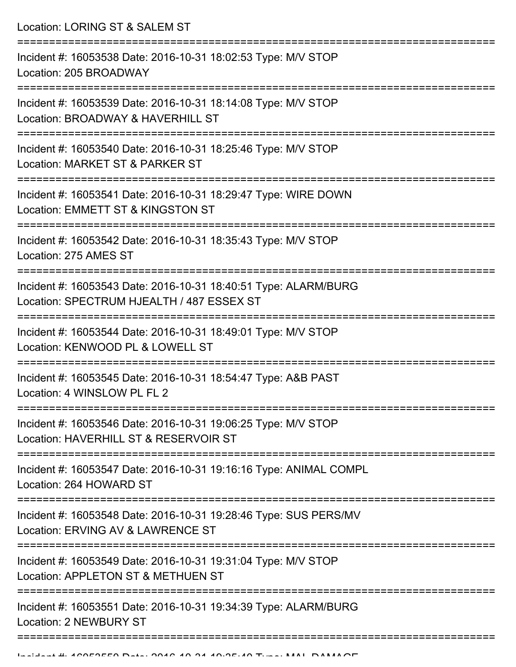Location: LORING ST & SALEM ST

| Incident #: 16053538 Date: 2016-10-31 18:02:53 Type: M/V STOP<br>Location: 205 BROADWAY                                                    |
|--------------------------------------------------------------------------------------------------------------------------------------------|
| Incident #: 16053539 Date: 2016-10-31 18:14:08 Type: M/V STOP<br>Location: BROADWAY & HAVERHILL ST                                         |
| Incident #: 16053540 Date: 2016-10-31 18:25:46 Type: M/V STOP<br>Location: MARKET ST & PARKER ST                                           |
| Incident #: 16053541 Date: 2016-10-31 18:29:47 Type: WIRE DOWN<br>Location: EMMETT ST & KINGSTON ST                                        |
| Incident #: 16053542 Date: 2016-10-31 18:35:43 Type: M/V STOP<br>Location: 275 AMES ST                                                     |
| Incident #: 16053543 Date: 2016-10-31 18:40:51 Type: ALARM/BURG<br>Location: SPECTRUM HJEALTH / 487 ESSEX ST                               |
| Incident #: 16053544 Date: 2016-10-31 18:49:01 Type: M/V STOP<br>Location: KENWOOD PL & LOWELL ST                                          |
| Incident #: 16053545 Date: 2016-10-31 18:54:47 Type: A&B PAST<br>Location: 4 WINSLOW PL FL 2                                               |
| Incident #: 16053546 Date: 2016-10-31 19:06:25 Type: M/V STOP<br>Location: HAVERHILL ST & RESERVOIR ST                                     |
| Incident #: 16053547 Date: 2016-10-31 19:16:16 Type: ANIMAL COMPL<br>Location: 264 HOWARD ST                                               |
| =================================<br>Incident #: 16053548 Date: 2016-10-31 19:28:46 Type: SUS PERS/MV<br>Location: ERVING AV & LAWRENCE ST |
| Incident #: 16053549 Date: 2016-10-31 19:31:04 Type: M/V STOP<br>Location: APPLETON ST & METHUEN ST                                        |
| Incident #: 16053551 Date: 2016-10-31 19:34:39 Type: ALARM/BURG<br>Location: 2 NEWBURY ST                                                  |
|                                                                                                                                            |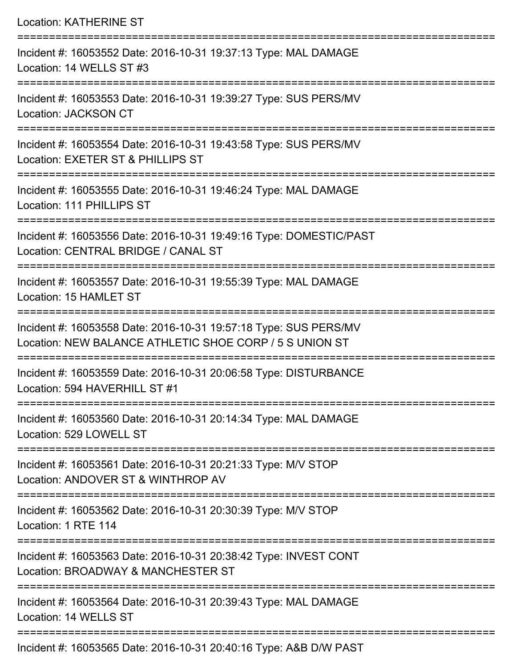| <b>Location: KATHERINE ST</b>                                                                                               |
|-----------------------------------------------------------------------------------------------------------------------------|
| Incident #: 16053552 Date: 2016-10-31 19:37:13 Type: MAL DAMAGE<br>Location: 14 WELLS ST #3                                 |
| Incident #: 16053553 Date: 2016-10-31 19:39:27 Type: SUS PERS/MV<br>Location: JACKSON CT                                    |
| Incident #: 16053554 Date: 2016-10-31 19:43:58 Type: SUS PERS/MV<br>Location: EXETER ST & PHILLIPS ST                       |
| Incident #: 16053555 Date: 2016-10-31 19:46:24 Type: MAL DAMAGE<br>Location: 111 PHILLIPS ST                                |
| Incident #: 16053556 Date: 2016-10-31 19:49:16 Type: DOMESTIC/PAST<br>Location: CENTRAL BRIDGE / CANAL ST                   |
| Incident #: 16053557 Date: 2016-10-31 19:55:39 Type: MAL DAMAGE<br>Location: 15 HAMLET ST                                   |
| Incident #: 16053558 Date: 2016-10-31 19:57:18 Type: SUS PERS/MV<br>Location: NEW BALANCE ATHLETIC SHOE CORP / 5 S UNION ST |
| Incident #: 16053559 Date: 2016-10-31 20:06:58 Type: DISTURBANCE<br>Location: 594 HAVERHILL ST #1                           |
| Incident #: 16053560 Date: 2016-10-31 20:14:34 Type: MAL DAMAGE<br>Location: 529 LOWELL ST                                  |
| Incident #: 16053561 Date: 2016-10-31 20:21:33 Type: M/V STOP<br>Location: ANDOVER ST & WINTHROP AV                         |
| Incident #: 16053562 Date: 2016-10-31 20:30:39 Type: M/V STOP<br>Location: 1 RTE 114                                        |
| Incident #: 16053563 Date: 2016-10-31 20:38:42 Type: INVEST CONT<br>Location: BROADWAY & MANCHESTER ST                      |
| Incident #: 16053564 Date: 2016-10-31 20:39:43 Type: MAL DAMAGE<br>Location: 14 WELLS ST                                    |
| $\mathsf{FQFCF}$ Detail $\mathsf{QQAC}$ 40 04 00:40:40 Times ARD DAM DACT                                                   |

Incident #: 16053565 Date: 2016-10-31 20:40:16 Type: A&B D/W PAST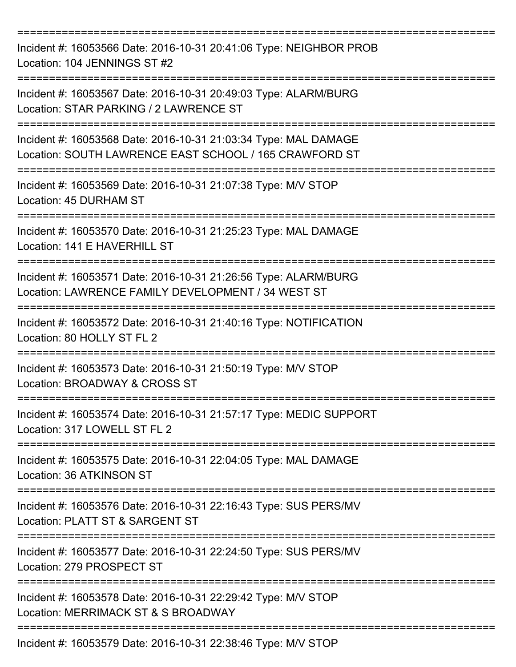| Incident #: 16053566 Date: 2016-10-31 20:41:06 Type: NEIGHBOR PROB<br>Location: 104 JENNINGS ST #2                        |
|---------------------------------------------------------------------------------------------------------------------------|
| Incident #: 16053567 Date: 2016-10-31 20:49:03 Type: ALARM/BURG<br>Location: STAR PARKING / 2 LAWRENCE ST                 |
| Incident #: 16053568 Date: 2016-10-31 21:03:34 Type: MAL DAMAGE<br>Location: SOUTH LAWRENCE EAST SCHOOL / 165 CRAWFORD ST |
| Incident #: 16053569 Date: 2016-10-31 21:07:38 Type: M/V STOP<br>Location: 45 DURHAM ST                                   |
| Incident #: 16053570 Date: 2016-10-31 21:25:23 Type: MAL DAMAGE<br>Location: 141 E HAVERHILL ST                           |
| Incident #: 16053571 Date: 2016-10-31 21:26:56 Type: ALARM/BURG<br>Location: LAWRENCE FAMILY DEVELOPMENT / 34 WEST ST     |
| Incident #: 16053572 Date: 2016-10-31 21:40:16 Type: NOTIFICATION<br>Location: 80 HOLLY ST FL 2                           |
| Incident #: 16053573 Date: 2016-10-31 21:50:19 Type: M/V STOP<br>Location: BROADWAY & CROSS ST                            |
| Incident #: 16053574 Date: 2016-10-31 21:57:17 Type: MEDIC SUPPORT<br>Location: 317 LOWELL ST FL 2                        |
| Incident #: 16053575 Date: 2016-10-31 22:04:05 Type: MAL DAMAGE<br>Location: 36 ATKINSON ST                               |
| Incident #: 16053576 Date: 2016-10-31 22:16:43 Type: SUS PERS/MV<br>Location: PLATT ST & SARGENT ST                       |
| Incident #: 16053577 Date: 2016-10-31 22:24:50 Type: SUS PERS/MV<br>Location: 279 PROSPECT ST                             |
| Incident #: 16053578 Date: 2016-10-31 22:29:42 Type: M/V STOP<br>Location: MERRIMACK ST & S BROADWAY                      |
| Incident #: 16053579 Date: 2016-10-31 22:38:46 Type: M/V STOP                                                             |